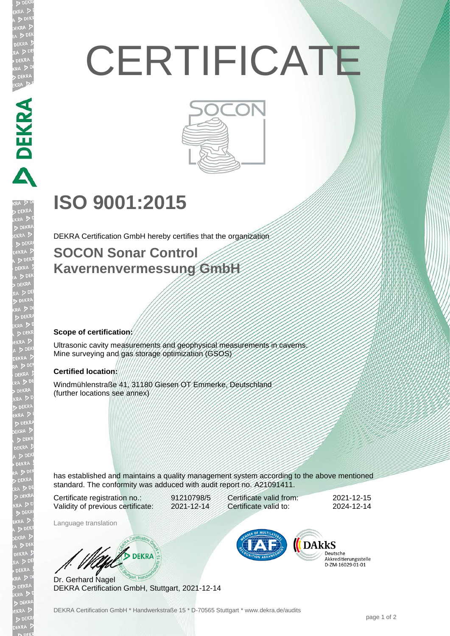# **CERTIFICATE**



# **ISO 9001:2015**

DEKRA Certification GmbH hereby certifies that the organization

### **SOCON Sonar Control Kavernenvermessung GmbH**

#### **Scope of certification:**

**DEKRA PERSON** 

EKR

Ultrasonic cavity measurements and geophysical measurements in caverns. Mine surveying and gas storage optimization (GSOS)

#### **Certified location:**

Windmühlenstraße 41, 31180 Giesen OT Emmerke, Deutschland (further locations see annex)

has established and maintains a quality management system according to the above mentioned standard. The conformity was adduced with audit report no. A21091411.

Certificate registration no.: 91210798/5 Validity of previous certificate: 2021-12-14

Certificate valid from: 2021-12-15 Certificate valid to: 2024-12-14

Language translation

W/ DEKRA

Dr. Gerhard Nagel DEKRA Certification GmbH, Stuttgart, 2021-12-14



Deutsche Akkreditierungsstelle